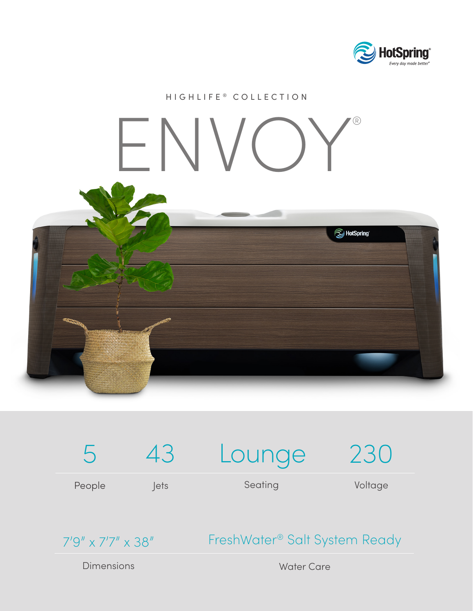

## HIGHLIFE ® COLLECTION ENVOY®**L** HotSpring



7'9" x 7'7" x 38"

FreshWater® Salt System Ready

Dimensions

Water Care